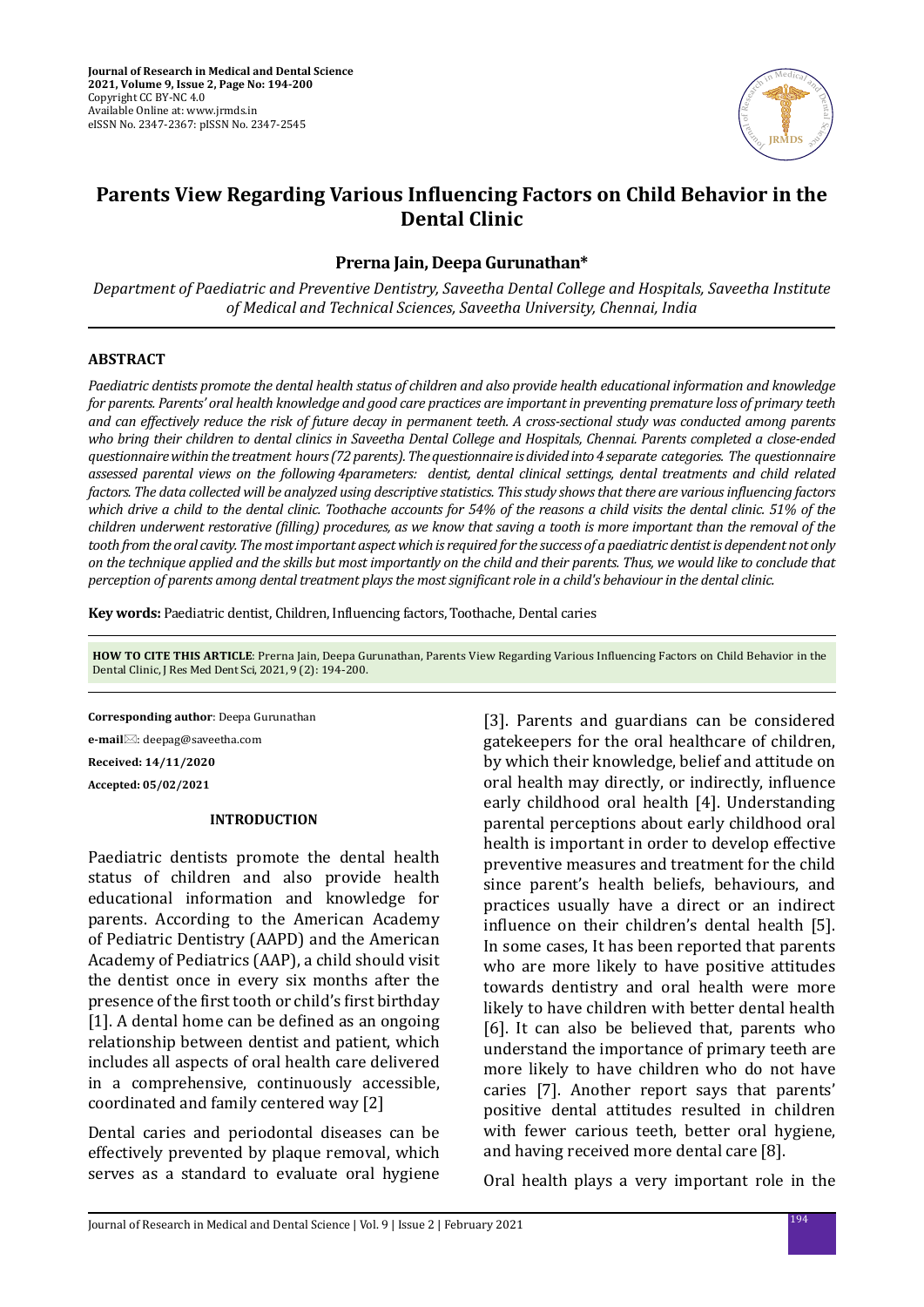

# **Parents View Regarding Various Influencing Factors on Child Behavior in the Dental Clinic**

## **Prerna Jain, Deepa Gurunathan\***

*Department of Paediatric and Preventive Dentistry, Saveetha Dental College and Hospitals, Saveetha Institute of Medical and Technical Sciences, Saveetha University, Chennai, India*

#### **ABSTRACT**

*Paediatric dentists promote the dental health status of children and also provide health educational information and knowledge for parents. Parents' oral health knowledge and good care practices are important in preventing premature loss of primary teeth and can effectively reduce the risk of future decay in permanent teeth. A cross-sectional study was conducted among parents who bring their children to dental clinics in Saveetha Dental College and Hospitals, Chennai. Parents completed a close-ended questionnaire within the treatment hours (72 parents). The questionnaire is divided into 4 separate categories. The questionnaire assessed parental views on the following 4parameters: dentist, dental clinical settings, dental treatments and child related factors. The data collected will be analyzed using descriptive statistics. This study shows that there are various influencing factors which drive a child to the dental clinic. Toothache accounts for 54% of the reasons a child visits the dental clinic. 51% of the children underwent restorative (filling) procedures, as we know that saving a tooth is more important than the removal of the tooth from the oral cavity. The most important aspect which is required for the success of a paediatric dentist is dependent not only on the technique applied and the skills but most importantly on the child and their parents. Thus, we would like to conclude that perception of parents among dental treatment plays the most significant role in a child's behaviour in the dental clinic.*

**Key words:** Paediatric dentist, Children, Influencing factors, Toothache, Dental caries

**HOW TO CITE THIS ARTICLE**: Prerna Jain, Deepa Gurunathan, Parents View Regarding Various Influencing Factors on Child Behavior in the Dental Clinic, J Res Med Dent Sci, 2021, 9 (2): 194-200.

**Corresponding author**: Deepa Gurunathan

**e-mail**⊠: deepag@saveetha.com

**Received: 14/11/2020**

**Accepted: 05/02/2021**

#### **INTRODUCTION**

Paediatric dentists promote the dental health status of children and also provide health educational information and knowledge for parents. According to the American Academy of Pediatric Dentistry (AAPD) and the American Academy of Pediatrics (AAP), a child should visit the dentist once in every six months after the presence of the first tooth or child's first birthday [1]. A dental home can be defined as an ongoing relationship between dentist and patient, which includes all aspects of oral health care delivered in a comprehensive, continuously accessible, coordinated and family centered way [2]

Dental caries and periodontal diseases can be effectively prevented by plaque removal, which serves as a standard to evaluate oral hygiene

[3]. Parents and guardians can be considered gatekeepers for the oral healthcare of children, by which their knowledge, belief and attitude on oral health may directly, or indirectly, influence early childhood oral health [4]. Understanding parental perceptions about early childhood oral health is important in order to develop effective preventive measures and treatment for the child since parent's health beliefs, behaviours, and practices usually have a direct or an indirect influence on their children's dental health [5]. In some cases, It has been reported that parents who are more likely to have positive attitudes towards dentistry and oral health were more likely to have children with better dental health [6]. It can also be believed that, parents who understand the importance of primary teeth are more likely to have children who do not have caries [7]. Another report says that parents' positive dental attitudes resulted in children with fewer carious teeth, better oral hygiene, and having received more dental care [8].

Oral health plays a very important role in the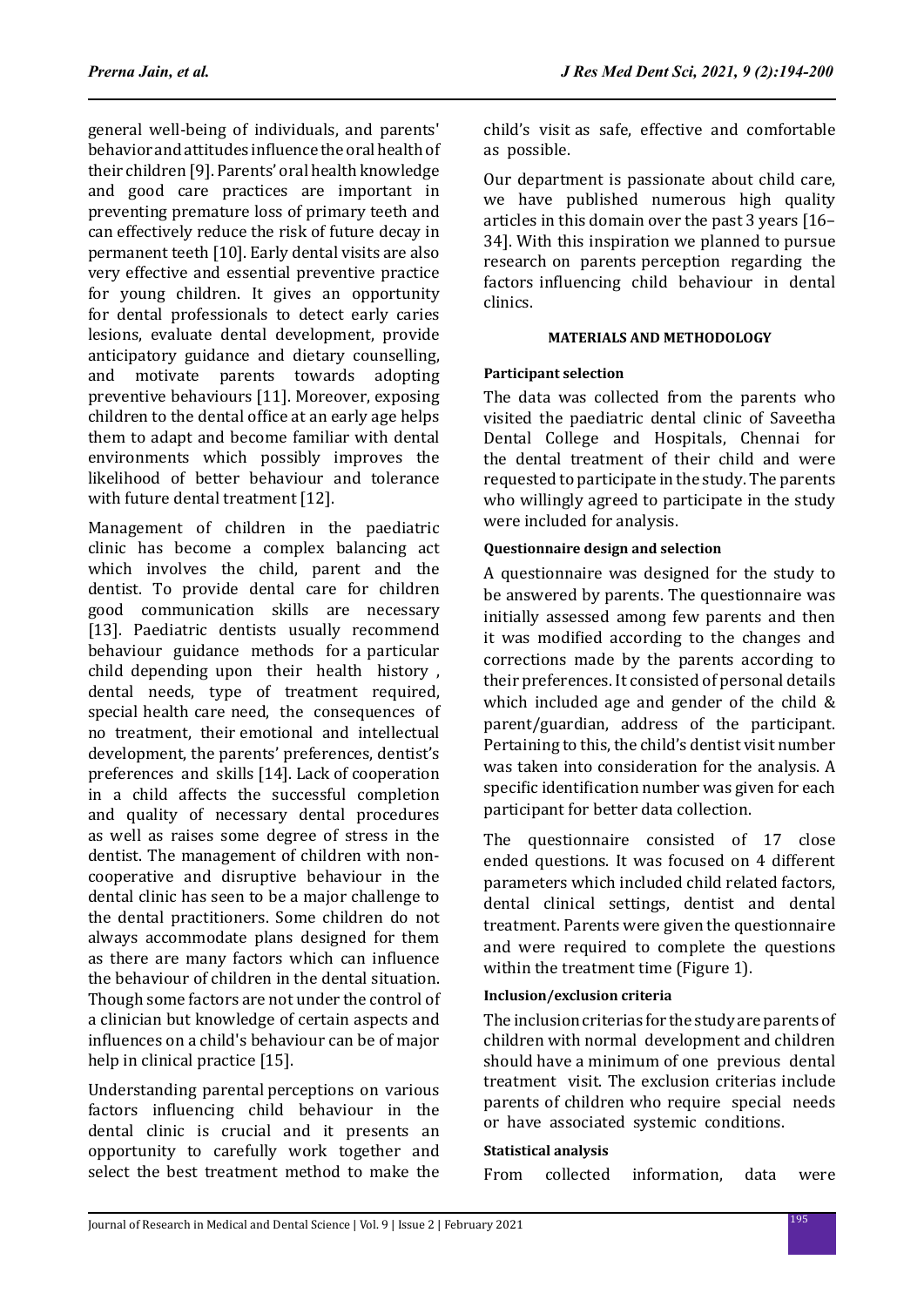general well-being of individuals, and parents' behavior and attitudes influence the oral health of their children [9]. Parents' oral health knowledge and good care practices are important in preventing premature loss of primary teeth and can effectively reduce the risk of future decay in permanent teeth [10]. Early dental visits are also very effective and essential preventive practice for young children. It gives an opportunity for dental professionals to detect early caries lesions, evaluate dental development, provide anticipatory guidance and dietary counselling, and motivate parents towards adopting preventive behaviours [11]. Moreover, exposing children to the dental office at an early age helps them to adapt and become familiar with dental environments which possibly improves the likelihood of better behaviour and tolerance with future dental treatment [12].

Management of children in the paediatric clinic has become a complex balancing act which involves the child, parent and the dentist. To provide dental care for children good communication skills are necessary [13]. Paediatric dentists usually recommend behaviour guidance methods for a particular child depending upon their health history , dental needs, type of treatment required, special health care need, the consequences of no treatment, their emotional and intellectual development, the parents' preferences, dentist's preferences and skills [14]. Lack of cooperation in a child affects the successful completion and quality of necessary dental procedures as well as raises some degree of stress in the dentist. The management of children with noncooperative and disruptive behaviour in the dental clinic has seen to be a major challenge to the dental practitioners. Some children do not always accommodate plans designed for them as there are many factors which can influence the behaviour of children in the dental situation. Though some factors are not under the control of a clinician but knowledge of certain aspects and influences on a child's behaviour can be of major help in clinical practice [15].

Understanding parental perceptions on various factors influencing child behaviour in the dental clinic is crucial and it presents an opportunity to carefully work together and select the best treatment method to make the child's visit as safe, effective and comfortable as possible.

Our department is passionate about child care, we have published numerous high quality articles in this domain over the past 3 years [16– 34]. With this inspiration we planned to pursue research on parents perception regarding the factors influencing child behaviour in dental clinics.

## **MATERIALS AND METHODOLOGY**

## **Participant selection**

The data was collected from the parents who visited the paediatric dental clinic of Saveetha Dental College and Hospitals, Chennai for the dental treatment of their child and were requested to participate in the study. The parents who willingly agreed to participate in the study were included for analysis.

#### **Questionnaire design and selection**

A questionnaire was designed for the study to be answered by parents. The questionnaire was initially assessed among few parents and then it was modified according to the changes and corrections made by the parents according to their preferences. It consisted of personal details which included age and gender of the child & parent/guardian, address of the participant. Pertaining to this, the child's dentist visit number was taken into consideration for the analysis. A specific identification number was given for each participant for better data collection.

The questionnaire consisted of 17 close ended questions. It was focused on 4 different parameters which included child related factors, dental clinical settings, dentist and dental treatment. Parents were given the questionnaire and were required to complete the questions within the treatment time (Figure 1).

## **Inclusion/exclusion criteria**

The inclusion criterias for the study are parents of children with normal development and children should have a minimum of one previous dental treatment visit. The exclusion criterias include parents of children who require special needs or have associated systemic conditions.

#### **Statistical analysis**

From collected information, data were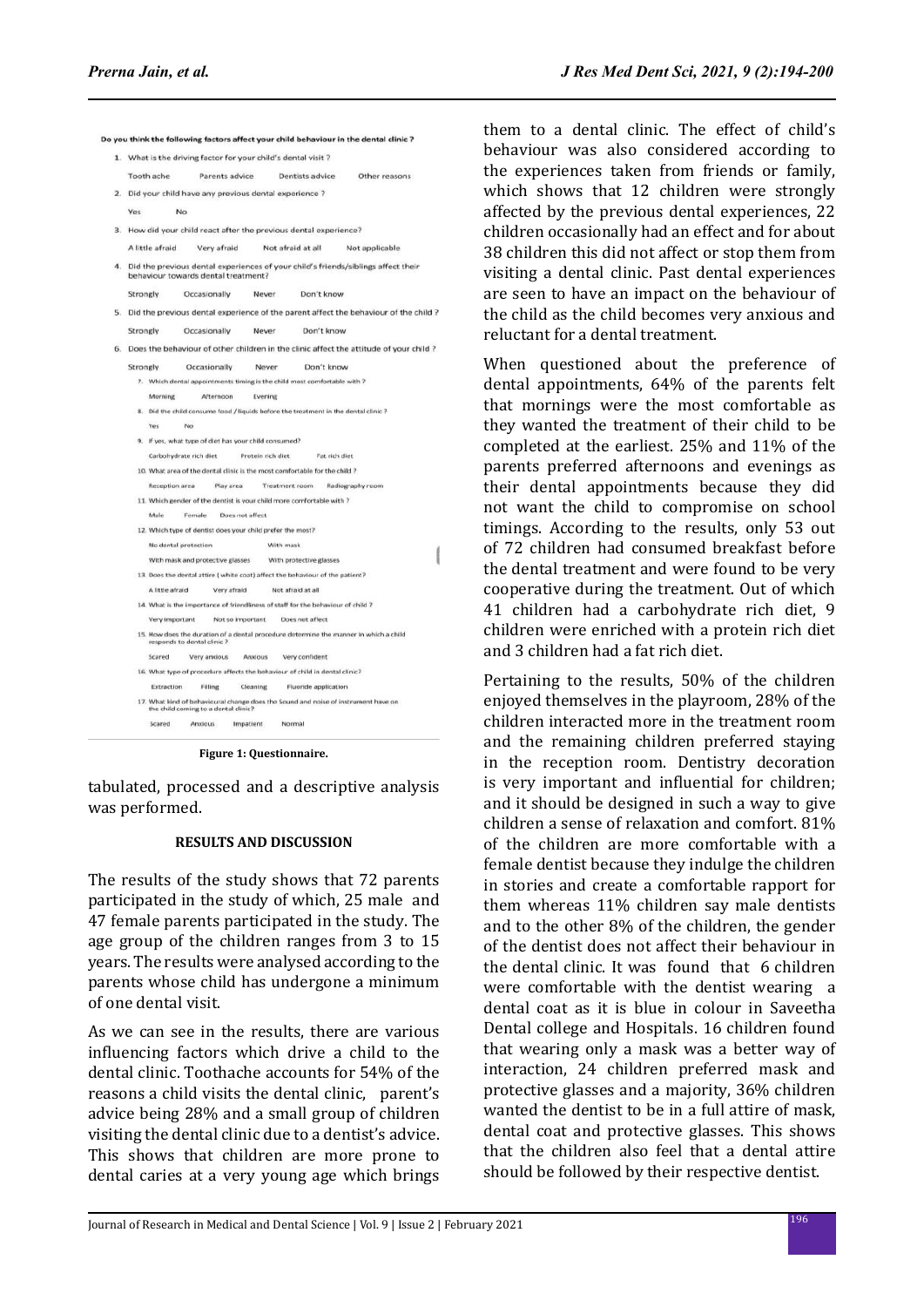|    |                                                                                                                            | 1. What is the driving factor for your child's dental visit ? |                     | Do you think the following factors affect your child behaviour in the dental clinic ? |               |  |
|----|----------------------------------------------------------------------------------------------------------------------------|---------------------------------------------------------------|---------------------|---------------------------------------------------------------------------------------|---------------|--|
|    | Tooth ache<br>Parents advice                                                                                               |                                                               |                     | Dentists advice                                                                       | Other reasons |  |
|    |                                                                                                                            |                                                               |                     |                                                                                       |               |  |
|    | 2. Did your child have any previous dental experience ?                                                                    |                                                               |                     |                                                                                       |               |  |
|    | Yes<br>No                                                                                                                  |                                                               |                     |                                                                                       |               |  |
| 3. | How did your child react after the previous dental experience?                                                             |                                                               |                     |                                                                                       |               |  |
|    | A little afraid                                                                                                            | Very afraid                                                   |                     | Not afraid at all<br>Not applicable                                                   |               |  |
| 4. | Did the previous dental experiences of your child's friends/siblings affect their<br>behaviour towards dental treatment?   |                                                               |                     |                                                                                       |               |  |
|    | Strongly<br>Occasionally                                                                                                   |                                                               | Never               | Don't know                                                                            |               |  |
|    | 5. Did the previous dental experience of the parent affect the behaviour of the child ?                                    |                                                               |                     |                                                                                       |               |  |
|    | Strongly                                                                                                                   | Occasionally                                                  | Never<br>Don't know |                                                                                       |               |  |
| 6. | Does the behaviour of other children in the clinic affect the attitude of your child ?                                     |                                                               |                     |                                                                                       |               |  |
|    | Strongly<br>Occasionally                                                                                                   |                                                               | Never               | Don't know                                                                            |               |  |
|    | 7. Which dental appointments timing is the child most comfortable with ?                                                   |                                                               |                     |                                                                                       |               |  |
|    | Morning                                                                                                                    | Afternoon                                                     | Evening             |                                                                                       |               |  |
|    | 8. Did the child consume food / liquids before the treatment in the dental clinic ?                                        |                                                               |                     |                                                                                       |               |  |
|    | Yes<br>No                                                                                                                  |                                                               |                     |                                                                                       |               |  |
|    | 9. If yes, what type of diet has your child consumed?                                                                      |                                                               |                     |                                                                                       |               |  |
|    | Carbohydrate rich diet<br>Protein rich diet<br>Fat rich diet                                                               |                                                               |                     |                                                                                       |               |  |
|    | 10. What area of the dental clinic is the most comfortable for the child ?                                                 |                                                               |                     |                                                                                       |               |  |
|    | Reception area<br>Play area<br>Treatment room<br>Radiography room                                                          |                                                               |                     |                                                                                       |               |  |
|    | 11. Which gender of the dentist is your child more comfortable with ?                                                      |                                                               |                     |                                                                                       |               |  |
|    | Male<br>Female Does not affect                                                                                             |                                                               |                     |                                                                                       |               |  |
|    | 12. Which type of dentist does your child prefer the most?                                                                 |                                                               |                     |                                                                                       |               |  |
|    | No dental protection                                                                                                       |                                                               |                     | With mask                                                                             |               |  |
|    | With mask and protective glasses                                                                                           |                                                               |                     | With protective glasses                                                               |               |  |
|    | 13. Does the dental attire ( white coat) affect the behaviour of the patient?                                              |                                                               |                     |                                                                                       |               |  |
|    | A little afraid<br>Very afraid                                                                                             |                                                               |                     | Not afraid at all                                                                     |               |  |
|    | 14. What is the importance of friendliness of staff for the behaviour of child ?                                           |                                                               |                     |                                                                                       |               |  |
|    | Very important<br>Not so important<br>Does not affect                                                                      |                                                               |                     |                                                                                       |               |  |
|    | 15. How does the duration of a dental procedure determine the manner in which a child<br>responds to dental clinic ?       |                                                               |                     |                                                                                       |               |  |
|    | Scared                                                                                                                     | Very anxious                                                  | Anxious             | Very confident                                                                        |               |  |
|    | 16. What type of procedure affects the behaviour of child in dental clinic?                                                |                                                               |                     |                                                                                       |               |  |
|    | Extraction                                                                                                                 | Filling                                                       | Cleaning            | Fluoride application                                                                  |               |  |
|    | 17. What kind of behavioural change does the Sound and noise of instrument have on<br>the child coming to a dental clinic? |                                                               |                     |                                                                                       |               |  |
|    | Scared                                                                                                                     | <b>Anxious</b>                                                | Impatient           | Normal                                                                                |               |  |

**Figure 1: Questionnaire.**

tabulated, processed and a descriptive analysis was performed.

#### **RESULTS AND DISCUSSION**

The results of the study shows that 72 parents participated in the study of which, 25 male and 47 female parents participated in the study. The age group of the children ranges from 3 to 15 years. The results were analysed according to the parents whose child has undergone a minimum of one dental visit.

As we can see in the results, there are various influencing factors which drive a child to the dental clinic. Toothache accounts for 54% of the reasons a child visits the dental clinic, parent's advice being 28% and a small group of children visiting the dental clinic due to a dentist's advice. This shows that children are more prone to dental caries at a very young age which brings them to a dental clinic. The effect of child's behaviour was also considered according to the experiences taken from friends or family, which shows that 12 children were strongly affected by the previous dental experiences, 22 children occasionally had an effect and for about 38 children this did not affect or stop them from visiting a dental clinic. Past dental experiences are seen to have an impact on the behaviour of the child as the child becomes very anxious and reluctant for a dental treatment.

When questioned about the preference of dental appointments, 64% of the parents felt that mornings were the most comfortable as they wanted the treatment of their child to be completed at the earliest. 25% and 11% of the parents preferred afternoons and evenings as their dental appointments because they did not want the child to compromise on school timings. According to the results, only 53 out of 72 children had consumed breakfast before the dental treatment and were found to be very cooperative during the treatment. Out of which 41 children had a carbohydrate rich diet, 9 children were enriched with a protein rich diet and 3 children had a fat rich diet.

Pertaining to the results, 50% of the children enjoyed themselves in the playroom, 28% of the children interacted more in the treatment room and the remaining children preferred staying in the reception room. Dentistry decoration is very important and influential for children; and it should be designed in such a way to give children a sense of relaxation and comfort. 81% of the children are more comfortable with a female dentist because they indulge the children in stories and create a comfortable rapport for them whereas 11% children say male dentists and to the other 8% of the children, the gender of the dentist does not affect their behaviour in the dental clinic. It was found that 6 children were comfortable with the dentist wearing a dental coat as it is blue in colour in Saveetha Dental college and Hospitals. 16 children found that wearing only a mask was a better way of interaction, 24 children preferred mask and protective glasses and a majority, 36% children wanted the dentist to be in a full attire of mask, dental coat and protective glasses. This shows that the children also feel that a dental attire should be followed by their respective dentist.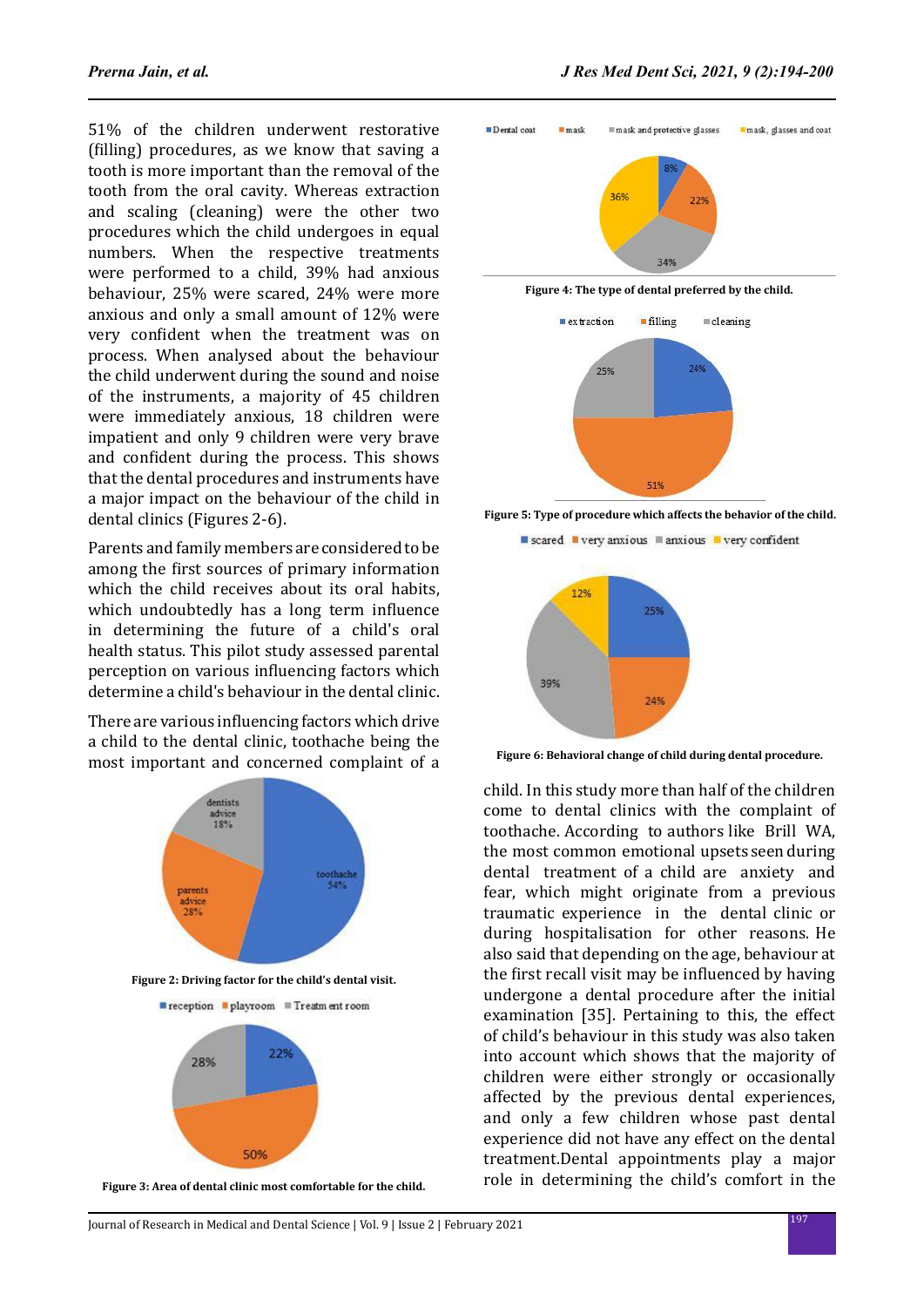51% of the children underwent restorative (filling) procedures, as we know that saving a tooth is more important than the removal of the tooth from the oral cavity. Whereas extraction and scaling (cleaning) were the other two procedures which the child undergoes in equal numbers. When the respective treatments were performed to a child, 39% had anxious behaviour, 25% were scared, 24% were more anxious and only a small amount of 12% were very confident when the treatment was on process. When analysed about the behaviour the child underwent during the sound and noise of the instruments, a majority of 45 children were immediately anxious, 18 children were impatient and only 9 children were very brave and confident during the process. This shows that the dental procedures and instruments have a major impact on the behaviour of the child in dental clinics (Figures 2-6).

Parents and family members are considered to be among the first sources of primary information which the child receives about its oral habits, which undoubtedly has a long term influence in determining the future of a child's oral health status. This pilot study assessed parental perception on various influencing factors which determine a child's behaviour in the dental clinic.

There are various influencing factors which drive a child to the dental clinic, toothache being the most important and concerned complaint of a



**Figure 3: Area of dental clinic most comfortable for the child.** 



**Figure 4: The type of dental preferred by the child.**



**Figure 5: Type of procedure which affects the behavior of the child.** 

scared very anxious manxious wery confident



**Figure 6: Behavioral change of child during dental procedure.**

child. In this study more than half of the children come to dental clinics with the complaint of toothache. According to authors like Brill WA, the most common emotional upsets seen during dental treatment of a child are anxiety and fear, which might originate from a previous traumatic experience in the dental clinic or during hospitalisation for other reasons. He also said that depending on the age, behaviour at the first recall visit may be influenced by having undergone a dental procedure after the initial examination [35]. Pertaining to this, the effect of child's behaviour in this study was also taken into account which shows that the majority of children were either strongly or occasionally affected by the previous dental experiences, and only a few children whose past dental experience did not have any effect on the dental treatment.Dental appointments play a major role in determining the child's comfort in the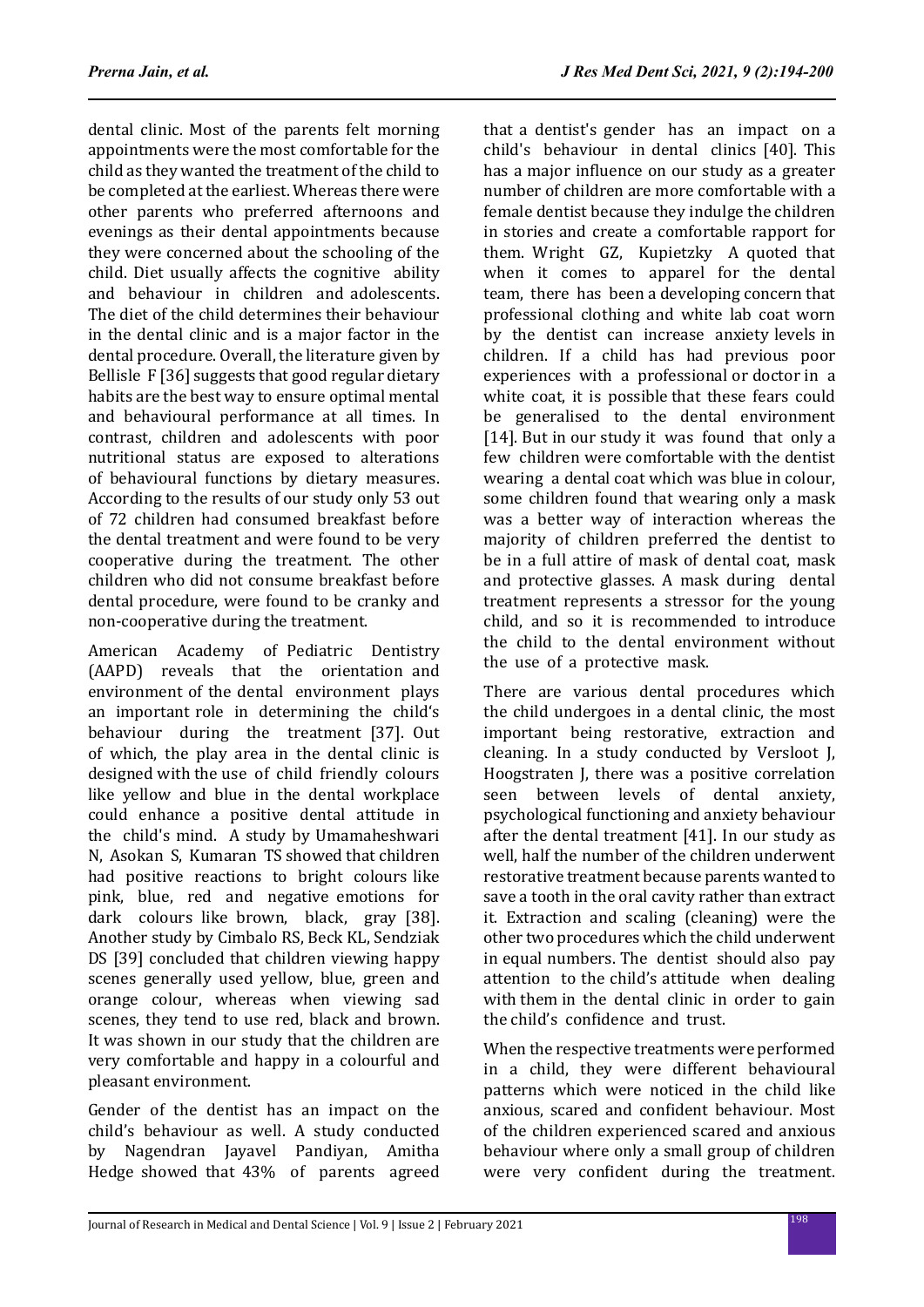dental clinic. Most of the parents felt morning appointments were the most comfortable for the child as they wanted the treatment of the child to be completed at the earliest. Whereas there were other parents who preferred afternoons and evenings as their dental appointments because they were concerned about the schooling of the child. Diet usually affects the cognitive ability and behaviour in children and adolescents. The diet of the child determines their behaviour in the dental clinic and is a major factor in the dental procedure. Overall, the literature given by Bellisle F [36] suggests that good regular dietary habits are the best way to ensure optimal mental and behavioural performance at all times. In contrast, children and adolescents with poor nutritional status are exposed to alterations of behavioural functions by dietary measures. According to the results of our study only 53 out of 72 children had consumed breakfast before the dental treatment and were found to be very cooperative during the treatment. The other children who did not consume breakfast before dental procedure, were found to be cranky and non-cooperative during the treatment.

American Academy of Pediatric Dentistry (AAPD) reveals that the orientation and environment of the dental environment plays an important role in determining the child's behaviour during the treatment [37]. Out of which, the play area in the dental clinic is designed with the use of child friendly colours like yellow and blue in the dental workplace could enhance a positive dental attitude in the child's mind. A study by Umamaheshwari N, Asokan S, Kumaran TS showed that children had positive reactions to bright colours like pink, blue, red and negative emotions for dark colours like brown, black, gray [38]. Another study by Cimbalo RS, Beck KL, Sendziak DS [39] concluded that children viewing happy scenes generally used yellow, blue, green and orange colour, whereas when viewing sad scenes, they tend to use red, black and brown. It was shown in our study that the children are very comfortable and happy in a colourful and pleasant environment.

Gender of the dentist has an impact on the child's behaviour as well. A study conducted by Nagendran Jayavel Pandiyan, Amitha Hedge showed that 43% of parents agreed that a dentist's gender has an impact on a child's behaviour in dental clinics [40]. This has a major influence on our study as a greater number of children are more comfortable with a female dentist because they indulge the children in stories and create a comfortable rapport for them. Wright GZ, Kupietzky A quoted that when it comes to apparel for the dental team, there has been a developing concern that professional clothing and white lab coat worn by the dentist can increase anxiety levels in children. If a child has had previous poor experiences with a professional or doctor in a white coat, it is possible that these fears could be generalised to the dental environment [14]. But in our study it was found that only a few children were comfortable with the dentist wearing a dental coat which was blue in colour, some children found that wearing only a mask was a better way of interaction whereas the majority of children preferred the dentist to be in a full attire of mask of dental coat, mask and protective glasses. A mask during dental treatment represents a stressor for the young child, and so it is recommended to introduce the child to the dental environment without the use of a protective mask.

There are various dental procedures which the child undergoes in a dental clinic, the most important being restorative, extraction and cleaning. In a study conducted by Versloot J, Hoogstraten J, there was a positive correlation seen between levels of dental anxiety, psychological functioning and anxiety behaviour after the dental treatment [41]. In our study as well, half the number of the children underwent restorative treatment because parents wanted to save a tooth in the oral cavity rather than extract it. Extraction and scaling (cleaning) were the other two procedures which the child underwent in equal numbers. The dentist should also pay attention to the child's attitude when dealing with them in the dental clinic in order to gain the child's confidence and trust.

When the respective treatments were performed in a child, they were different behavioural patterns which were noticed in the child like anxious, scared and confident behaviour. Most of the children experienced scared and anxious behaviour where only a small group of children were very confident during the treatment.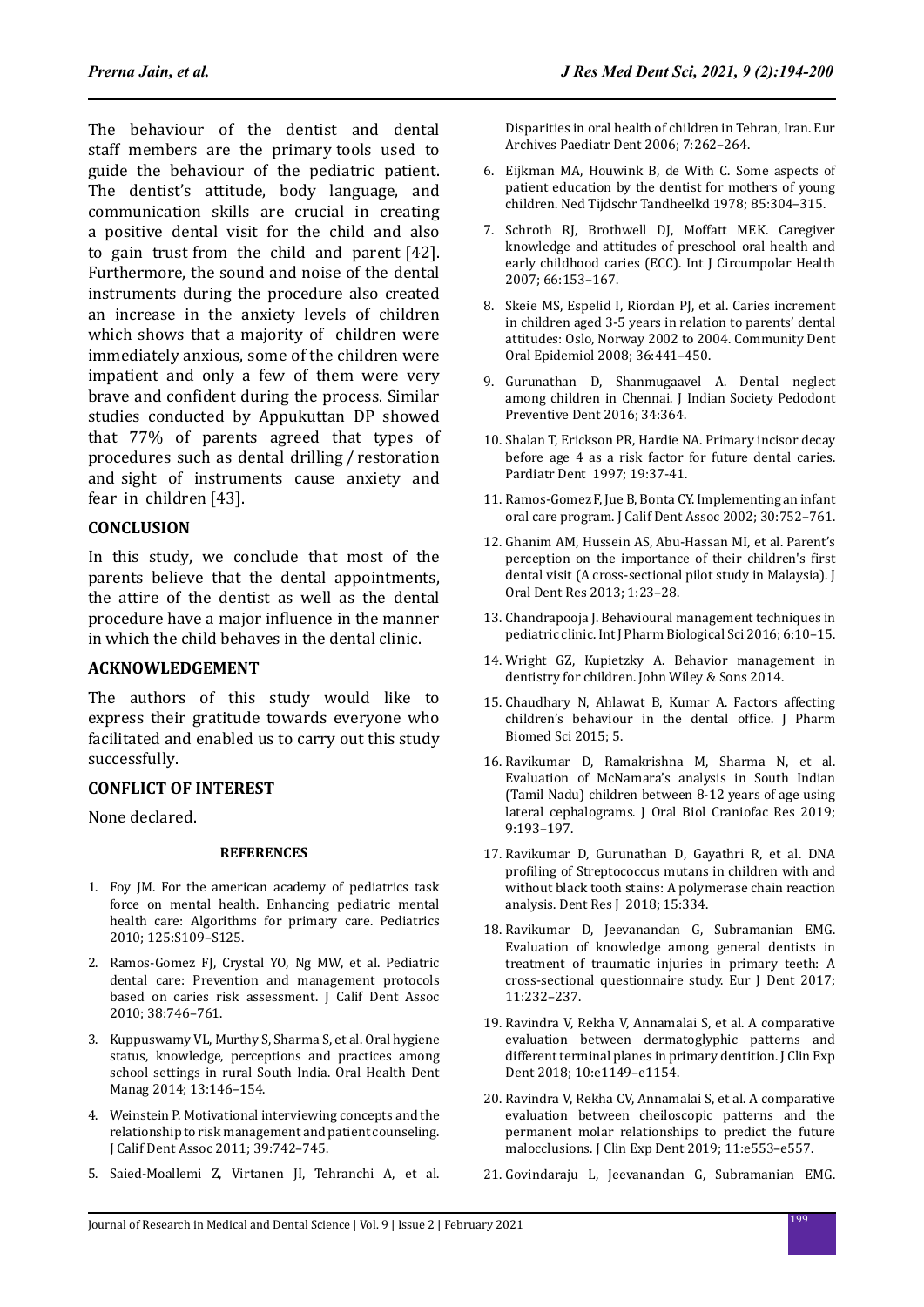The behaviour of the dentist and dental staff members are the primary tools used to guide the behaviour of the pediatric patient. The dentist's attitude, body language, and communication skills are crucial in creating a positive dental visit for the child and also to gain trust from the child and parent [42]. Furthermore, the sound and noise of the dental instruments during the procedure also created an increase in the anxiety levels of children which shows that a majority of children were immediately anxious, some of the children were impatient and only a few of them were very brave and confident during the process. Similar studies conducted by Appukuttan DP showed that 77% of parents agreed that types of procedures such as dental drilling / restoration and sight of instruments cause anxiety and fear in children [43].

## **CONCLUSION**

In this study, we conclude that most of the parents believe that the dental appointments, the attire of the dentist as well as the dental procedure have a major influence in the manner in which the child behaves in the dental clinic.

## **ACKNOWLEDGEMENT**

The authors of this study would like to express their gratitude towards everyone who facilitated and enabled us to carry out this study successfully.

## **CONFLICT OF INTEREST**

None declared.

#### **REFERENCES**

- 1. Foy JM. For the american academy of pediatrics task force on mental health. Enhancing pediatric mental health care: Algorithms for primary care. Pediatrics 2010; 125:S109–S125.
- 2. Ramos-Gomez FJ, Crystal YO, Ng MW, et al. Pediatric dental care: Prevention and management protocols based on caries risk assessment. J Calif Dent Assoc 2010; 38:746–761.
- 3. Kuppuswamy VL, Murthy S, Sharma S, et al. Oral hygiene status, knowledge, perceptions and practices among school settings in rural South India. Oral Health Dent Manag 2014; 13:146–154.
- 4. Weinstein P. Motivational interviewing concepts and the relationship to risk management and patient counseling. J Calif Dent Assoc 2011; 39:742–745.
- 5. Saied-Moallemi Z, Virtanen JI, Tehranchi A, et al.

Disparities in oral health of children in Tehran, Iran. Eur Archives Paediatr Dent 2006; 7:262–264.

- 6. Eijkman MA, Houwink B, de With C. Some aspects of patient education by the dentist for mothers of young children. Ned Tijdschr Tandheelkd 1978; 85:304–315.
- 7. Schroth RJ, Brothwell DJ, Moffatt MEK. Caregiver knowledge and attitudes of preschool oral health and early childhood caries (ECC). Int J Circumpolar Health 2007; 66:153–167.
- 8. Skeie MS, Espelid I, Riordan PJ, et al. Caries increment in children aged 3-5 years in relation to parents' dental attitudes: Oslo, Norway 2002 to 2004. Community Dent Oral Epidemiol 2008; 36:441–450.
- 9. Gurunathan D, Shanmugaavel A. Dental neglect among children in Chennai. J Indian Society Pedodont Preventive Dent 2016; 34:364.
- 10. Shalan T, Erickson PR, Hardie NA. Primary incisor decay before age 4 as a risk factor for future dental caries. Pardiatr Dent 1997; 19:37-41.
- 11. Ramos-Gomez F, Jue B, Bonta CY. Implementing an infant oral care program. J Calif Dent Assoc 2002; 30:752–761.
- 12. Ghanim AM, Hussein AS, Abu-Hassan MI, et al. Parent's perception on the importance of their children's first dental visit (A cross-sectional pilot study in Malaysia). J Oral Dent Res 2013; 1:23–28.
- 13. Chandrapooja J. Behavioural management techniques in pediatric clinic. Int J Pharm Biological Sci 2016; 6:10–15.
- 14. Wright GZ, Kupietzky A. Behavior management in dentistry for children. John Wiley & Sons 2014.
- 15. Chaudhary N, Ahlawat B, Kumar A. Factors affecting children's behaviour in the dental office. J Pharm Biomed Sci 2015; 5.
- 16. Ravikumar D, Ramakrishna M, Sharma N, et al. Evaluation of McNamara's analysis in South Indian (Tamil Nadu) children between 8-12 years of age using lateral cephalograms. J Oral Biol Craniofac Res 2019; 9:193–197.
- 17. Ravikumar D, Gurunathan D, Gayathri R, et al. DNA profiling of Streptococcus mutans in children with and without black tooth stains: A polymerase chain reaction analysis. Dent Res J 2018; 15:334.
- 18. Ravikumar D, Jeevanandan G, Subramanian EMG. Evaluation of knowledge among general dentists in treatment of traumatic injuries in primary teeth: A cross-sectional questionnaire study. Eur J Dent 2017; 11:232–237.
- 19. Ravindra V, Rekha V, Annamalai S, et al. A comparative evaluation between dermatoglyphic patterns and different terminal planes in primary dentition. J Clin Exp Dent 2018; 10:e1149–e1154.
- 20. Ravindra V, Rekha CV, Annamalai S, et al. A comparative evaluation between cheiloscopic patterns and the permanent molar relationships to predict the future malocclusions. J Clin Exp Dent 2019; 11:e553–e557.
- 21. Govindaraju L, Jeevanandan G, Subramanian EMG.